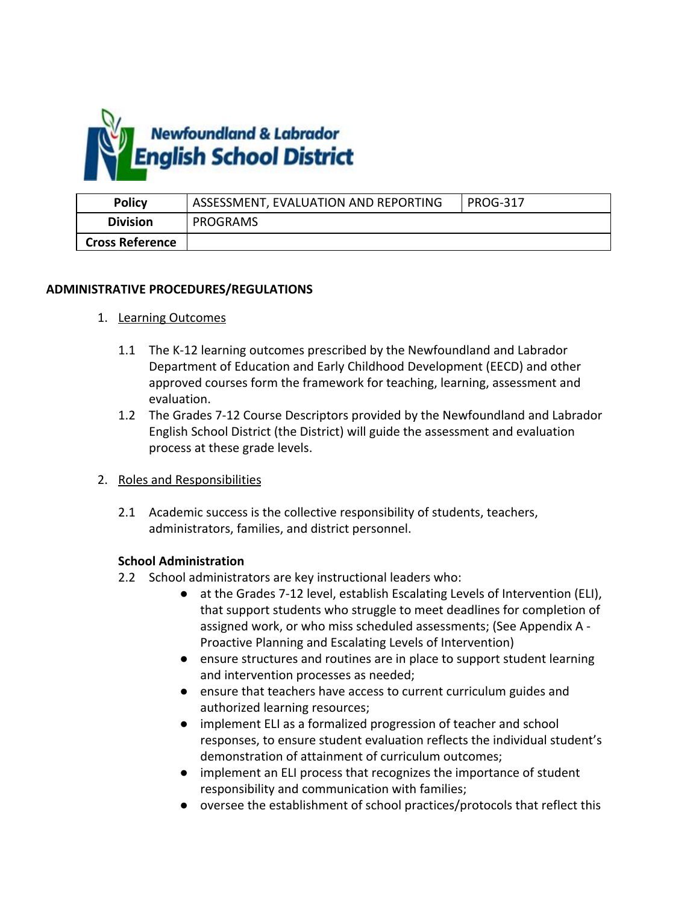

| <b>Policy</b>          | ASSESSMENT, EVALUATION AND REPORTING | <b>PROG-317</b> |
|------------------------|--------------------------------------|-----------------|
| <b>Division</b>        | PROGRAMS                             |                 |
| <b>Cross Reference</b> |                                      |                 |

### **ADMINISTRATIVE PROCEDURES/REGULATIONS**

- 1. Learning Outcomes
	- 1.1 The K-12 learning outcomes prescribed by the Newfoundland and Labrador Department of Education and Early Childhood Development (EECD) and other approved courses form the framework for teaching, learning, assessment and evaluation.
	- 1.2 The Grades 7-12 Course Descriptors provided by the Newfoundland and Labrador English School District (the District) will guide the assessment and evaluation process at these grade levels.
- 2. Roles and Responsibilities
	- 2.1 Academic success is the collective responsibility of students, teachers, administrators, families, and district personnel.

### **School Administration**

- 2.2 School administrators are key instructional leaders who:
	- at the Grades 7-12 level, establish Escalating Levels of Intervention (ELI), that support students who struggle to meet deadlines for completion of assigned work, or who miss scheduled assessments; (See Appendix A - Proactive Planning and Escalating Levels of Intervention)
	- ensure structures and routines are in place to support student learning and intervention processes as needed;
	- ensure that teachers have access to current curriculum guides and authorized learning resources;
	- implement ELI as a formalized progression of teacher and school responses, to ensure student evaluation reflects the individual student's demonstration of attainment of curriculum outcomes;
	- implement an ELI process that recognizes the importance of student responsibility and communication with families;
	- oversee the establishment of school practices/protocols that reflect this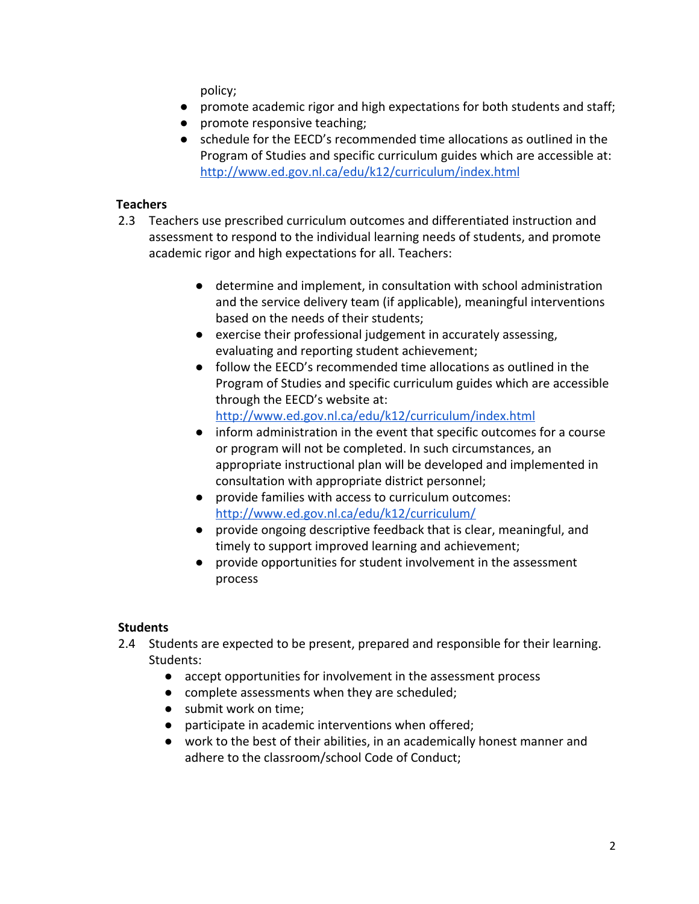policy;

- promote academic rigor and high expectations for both students and staff;
- promote responsive teaching;
- schedule for the EECD's recommended time allocations as outlined in the Program of Studies and specific curriculum guides which are accessible at: <http://www.ed.gov.nl.ca/edu/k12/curriculum/index.html>

# **Teachers**

- 2.3 Teachers use prescribed curriculum outcomes and differentiated instruction and assessment to respond to the individual learning needs of students, and promote academic rigor and high expectations for all. Teachers:
	- determine and implement, in consultation with school administration and the service delivery team (if applicable), meaningful interventions based on the needs of their students;
	- exercise their professional judgement in accurately assessing, evaluating and reporting student achievement;
	- follow the EECD's recommended time allocations as outlined in the Program of Studies and specific curriculum guides which are accessible through the EECD's website at: <http://www.ed.gov.nl.ca/edu/k12/curriculum/index.html>
	- inform administration in the event that specific outcomes for a course or program will not be completed. In such circumstances, an appropriate instructional plan will be developed and implemented in consultation with appropriate district personnel;
	- provide families with access to curriculum outcomes: <http://www.ed.gov.nl.ca/edu/k12/curriculum/>
	- provide ongoing descriptive feedback that is clear, meaningful, and timely to support improved learning and achievement;
	- provide opportunities for student involvement in the assessment process

# **Students**

- 2.4 Students are expected to be present, prepared and responsible for their learning. Students:
	- accept opportunities for involvement in the assessment process
	- complete assessments when they are scheduled;
	- submit work on time;
	- participate in academic interventions when offered;
	- work to the best of their abilities, in an academically honest manner and adhere to the classroom/school Code of Conduct;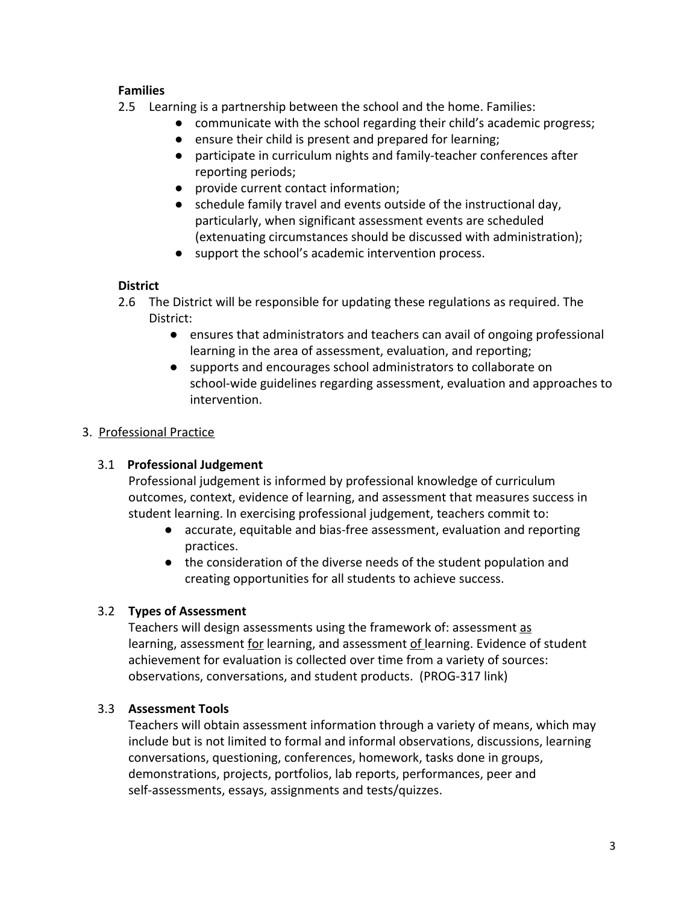# **Families**

- 2.5 Learning is a partnership between the school and the home. Families:
	- communicate with the school regarding their child's academic progress;
	- ensure their child is present and prepared for learning;
	- participate in curriculum nights and family-teacher conferences after reporting periods;
	- provide current contact information;
	- schedule family travel and events outside of the instructional day, particularly, when significant assessment events are scheduled (extenuating circumstances should be discussed with administration);
	- support the school's academic intervention process.

# **District**

- 2.6 The District will be responsible for updating these regulations as required. The District:
	- ensures that administrators and teachers can avail of ongoing professional learning in the area of assessment, evaluation, and reporting;
	- supports and encourages school administrators to collaborate on school-wide guidelines regarding assessment, evaluation and approaches to intervention.

# 3. Professional Practice

# 3.1 **Professional Judgement**

Professional judgement is informed by professional knowledge of curriculum outcomes, context, evidence of learning, and assessment that measures success in student learning. In exercising professional judgement, teachers commit to:

- accurate, equitable and bias-free assessment, evaluation and reporting practices.
- the consideration of the diverse needs of the student population and creating opportunities for all students to achieve success.

# 3.2 **Types of Assessment**

Teachers will design assessments using the framework of: assessment as learning, assessment for learning, and assessment of learning. Evidence of student achievement for evaluation is collected over time from a variety of sources: observations, conversations, and student products. (PROG-317 link)

# 3.3 **Assessment Tools**

Teachers will obtain assessment information through a variety of means, which may include but is not limited to formal and informal observations, discussions, learning conversations, questioning, conferences, homework, tasks done in groups, demonstrations, projects, portfolios, lab reports, performances, peer and self-assessments, essays, assignments and tests/quizzes.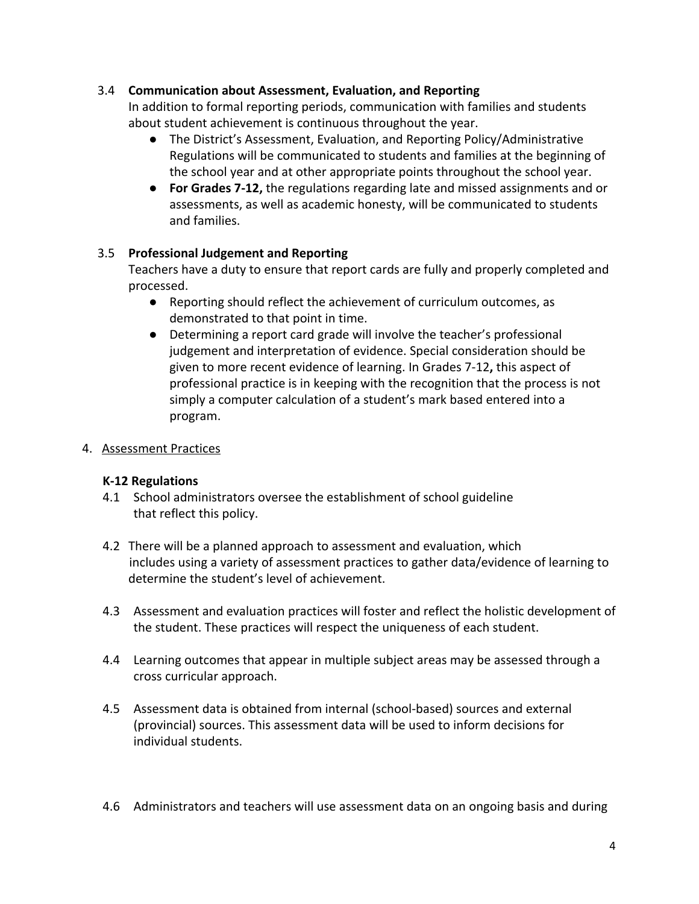# 3.4 **Communication about Assessment, Evaluation, and Reporting**

In addition to formal reporting periods, communication with families and students about student achievement is continuous throughout the year.

- The District's Assessment, Evaluation, and Reporting Policy/Administrative Regulations will be communicated to students and families at the beginning of the school year and at other appropriate points throughout the school year.
- **For Grades 7-12,** the regulations regarding late and missed assignments and or assessments, as well as academic honesty, will be communicated to students and families.

# 3.5 **Professional Judgement and Reporting**

Teachers have a duty to ensure that report cards are fully and properly completed and processed.

- Reporting should reflect the achievement of curriculum outcomes, as demonstrated to that point in time.
- Determining a report card grade will involve the teacher's professional judgement and interpretation of evidence. Special consideration should be given to more recent evidence of learning. In Grades 7-12**,** this aspect of professional practice is in keeping with the recognition that the process is not simply a computer calculation of a student's mark based entered into a program.

# 4. Assessment Practices

# **K-12 Regulations**

- 4.1 School administrators oversee the establishment of school guideline that reflect this policy.
- 4.2 There will be a planned approach to assessment and evaluation, which includes using a variety of assessment practices to gather data/evidence of learning to determine the student's level of achievement.
- 4.3 Assessment and evaluation practices will foster and reflect the holistic development of the student. These practices will respect the uniqueness of each student.
- 4.4 Learning outcomes that appear in multiple subject areas may be assessed through a cross curricular approach.
- 4.5 Assessment data is obtained from internal (school-based) sources and external (provincial) sources. This assessment data will be used to inform decisions for individual students.
- 4.6 Administrators and teachers will use assessment data on an ongoing basis and during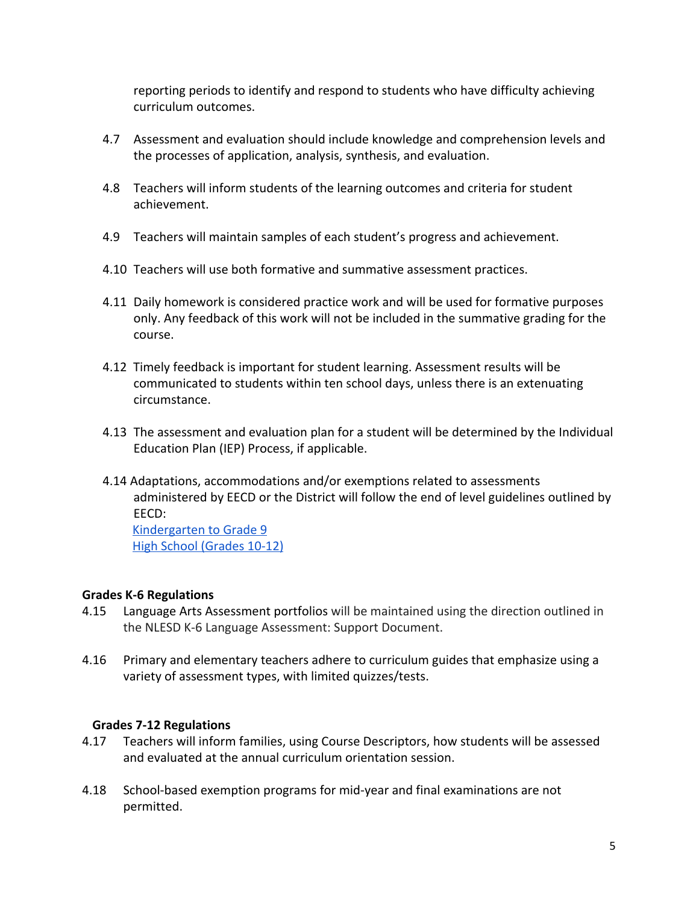reporting periods to identify and respond to students who have difficulty achieving curriculum outcomes.

- 4.7 Assessment and evaluation should include knowledge and comprehension levels and the processes of application, analysis, synthesis, and evaluation.
- 4.8 Teachers will inform students of the learning outcomes and criteria for student achievement.
- 4.9 Teachers will maintain samples of each student's progress and achievement.
- 4.10 Teachers will use both formative and summative assessment practices.
- 4.11 Daily homework is considered practice work and will be used for formative purposes only. Any feedback of this work will not be included in the summative grading for the course.
- 4.12 Timely feedback is important for student learning. Assessment results will be communicated to students within ten school days, unless there is an extenuating circumstance.
- 4.13 The assessment and evaluation plan for a student will be determined by the Individual Education Plan (IEP) Process, if applicable.
- 4.14 Adaptations, accommodations and/or exemptions related to assessments administered by EECD or the District will follow the end of level guidelines outlined by EECD:

 [Kindergarten to Grade 9](http://www.ed.gov.nl.ca/edu/k12/evaluation/crts/index.html) [High School \(Grades 10-12\)](http://www.ed.gov.nl.ca/edu/k12/studentsupportservices/publications/accommodationpolicy.pdf)

### **Grades K-6 Regulations**

- 4.15 Language Arts Assessment portfolios will be maintained using the direction outlined in the NLESD K-6 Language Assessment: Support Document.
- 4.16 Primary and elementary teachers adhere to curriculum guides that emphasize using a variety of assessment types, with limited quizzes/tests.

# **Grades 7-12 Regulations**

- 4.17 Teachers will inform families, using Course Descriptors, how students will be assessed and evaluated at the annual curriculum orientation session.
- 4.18 School-based exemption programs for mid-year and final examinations are not permitted.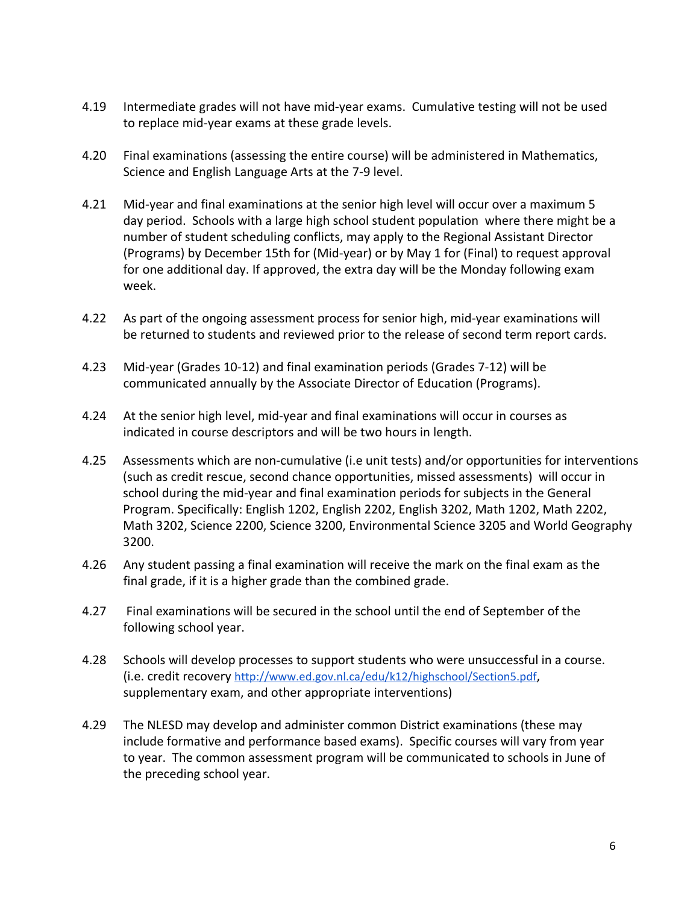- 4.19 Intermediate grades will not have mid-year exams. Cumulative testing will not be used to replace mid-year exams at these grade levels.
- 4.20 Final examinations (assessing the entire course) will be administered in Mathematics, Science and English Language Arts at the 7-9 level.
- 4.21 Mid-year and final examinations at the senior high level will occur over a maximum 5 day period. Schools with a large high school student population where there might be a number of student scheduling conflicts, may apply to the Regional Assistant Director (Programs) by December 15th for (Mid-year) or by May 1 for (Final) to request approval for one additional day. If approved, the extra day will be the Monday following exam week.
- 4.22 As part of the ongoing assessment process for senior high, mid-year examinations will be returned to students and reviewed prior to the release of second term report cards.
- 4.23 Mid-year (Grades 10-12) and final examination periods (Grades 7-12) will be communicated annually by the Associate Director of Education (Programs).
- 4.24 At the senior high level, mid-year and final examinations will occur in courses as indicated in course descriptors and will be two hours in length.
- 4.25 Assessments which are non-cumulative (i.e unit tests) and/or opportunities for interventions (such as credit rescue, second chance opportunities, missed assessments) will occur in school during the mid-year and final examination periods for subjects in the General Program. Specifically: English 1202, English 2202, English 3202, Math 1202, Math 2202, Math 3202, Science 2200, Science 3200, Environmental Science 3205 and World Geography 3200.
- 4.26 Any student passing a final examination will receive the mark on the final exam as the final grade, if it is a higher grade than the combined grade.
- 4.27 Final examinations will be secured in the school until the end of September of the following school year.
- 4.28 Schools will develop processes to support students who were unsuccessful in a course. (i.e. credit recovery <http://www.ed.gov.nl.ca/edu/k12/highschool/Section5.pdf>, supplementary exam, and other appropriate interventions)
- 4.29 The NLESD may develop and administer common District examinations (these may include formative and performance based exams). Specific courses will vary from year to year. The common assessment program will be communicated to schools in June of the preceding school year.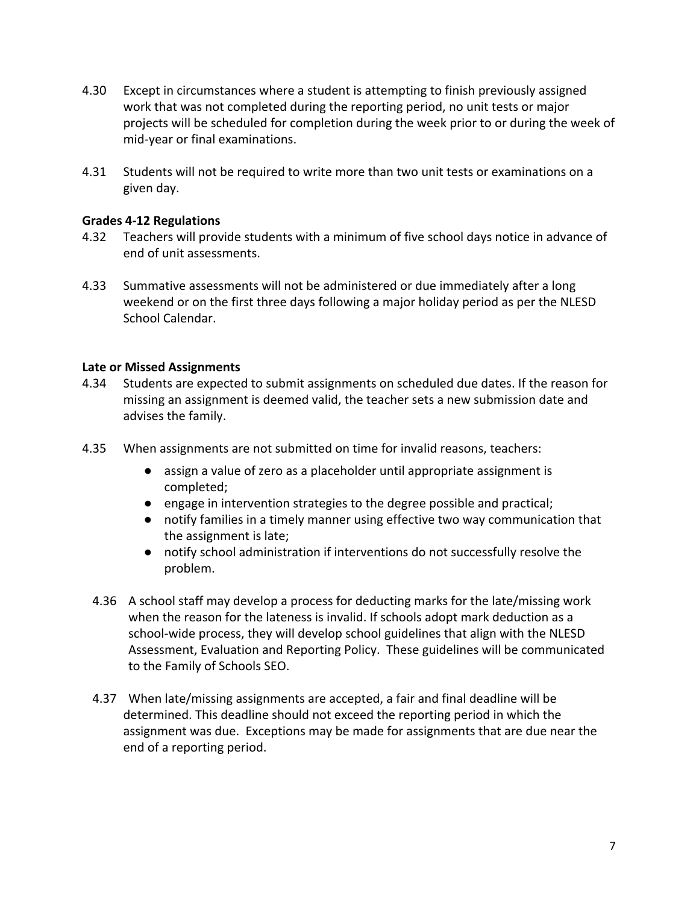- 4.30 Except in circumstances where a student is attempting to finish previously assigned work that was not completed during the reporting period, no unit tests or major projects will be scheduled for completion during the week prior to or during the week of mid-year or final examinations.
- 4.31 Students will not be required to write more than two unit tests or examinations on a given day.

### **Grades 4-12 Regulations**

- 4.32 Teachers will provide students with a minimum of five school days notice in advance of end of unit assessments.
- 4.33 Summative assessments will not be administered or due immediately after a long weekend or on the first three days following a major holiday period as per the NLESD School Calendar.

## **Late or Missed Assignments**

- 4.34 Students are expected to submit assignments on scheduled due dates. If the reason for missing an assignment is deemed valid, the teacher sets a new submission date and advises the family.
- 4.35 When assignments are not submitted on time for invalid reasons, teachers:
	- assign a value of zero as a placeholder until appropriate assignment is completed;
	- engage in intervention strategies to the degree possible and practical;
	- notify families in a timely manner using effective two way communication that the assignment is late;
	- notify school administration if interventions do not successfully resolve the problem.
	- 4.36 A school staff may develop a process for deducting marks for the late/missing work when the reason for the lateness is invalid. If schools adopt mark deduction as a school-wide process, they will develop school guidelines that align with the NLESD Assessment, Evaluation and Reporting Policy. These guidelines will be communicated to the Family of Schools SEO.
	- 4.37 When late/missing assignments are accepted, a fair and final deadline will be determined. This deadline should not exceed the reporting period in which the assignment was due. Exceptions may be made for assignments that are due near the end of a reporting period.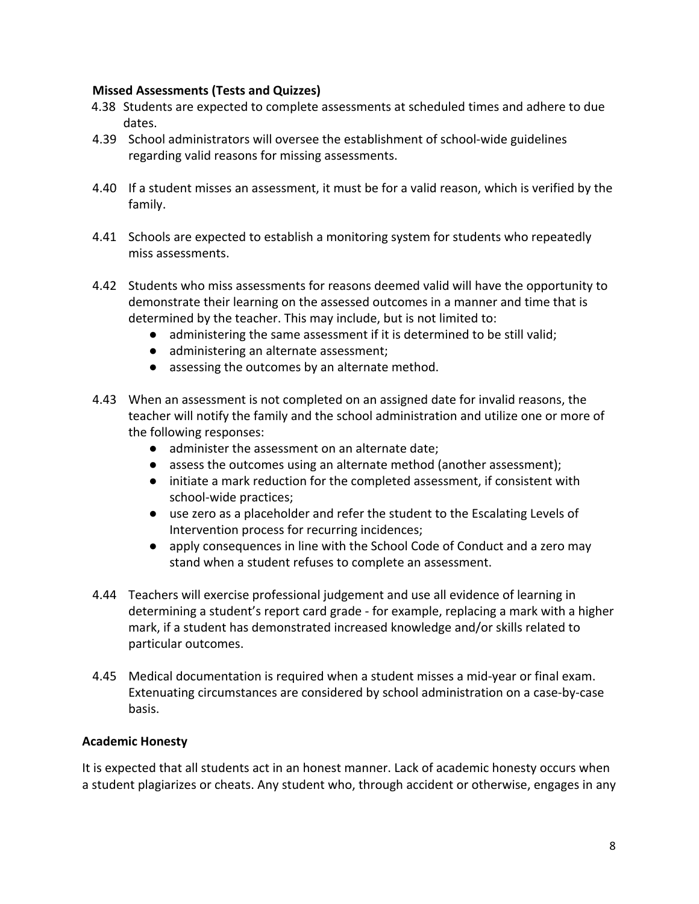## **Missed Assessments (Tests and Quizzes)**

- 4.38 Students are expected to complete assessments at scheduled times and adhere to due dates.
- 4.39 School administrators will oversee the establishment of school-wide guidelines regarding valid reasons for missing assessments.
- 4.40 If a student misses an assessment, it must be for a valid reason, which is verified by the family.
- 4.41 Schools are expected to establish a monitoring system for students who repeatedly miss assessments.
- 4.42 Students who miss assessments for reasons deemed valid will have the opportunity to demonstrate their learning on the assessed outcomes in a manner and time that is determined by the teacher. This may include, but is not limited to:
	- administering the same assessment if it is determined to be still valid;
	- administering an alternate assessment;
	- assessing the outcomes by an alternate method.
- 4.43 When an assessment is not completed on an assigned date for invalid reasons, the teacher will notify the family and the school administration and utilize one or more of the following responses:
	- administer the assessment on an alternate date;
	- assess the outcomes using an alternate method (another assessment);
	- initiate a mark reduction for the completed assessment, if consistent with school-wide practices;
	- use zero as a placeholder and refer the student to the Escalating Levels of Intervention process for recurring incidences;
	- apply consequences in line with the School Code of Conduct and a zero may stand when a student refuses to complete an assessment.
- 4.44 Teachers will exercise professional judgement and use all evidence of learning in determining a student's report card grade - for example, replacing a mark with a higher mark, if a student has demonstrated increased knowledge and/or skills related to particular outcomes.
- 4.45 Medical documentation is required when a student misses a mid-year or final exam. Extenuating circumstances are considered by school administration on a case-by-case basis.

### **Academic Honesty**

It is expected that all students act in an honest manner. Lack of academic honesty occurs when a student plagiarizes or cheats. Any student who, through accident or otherwise, engages in any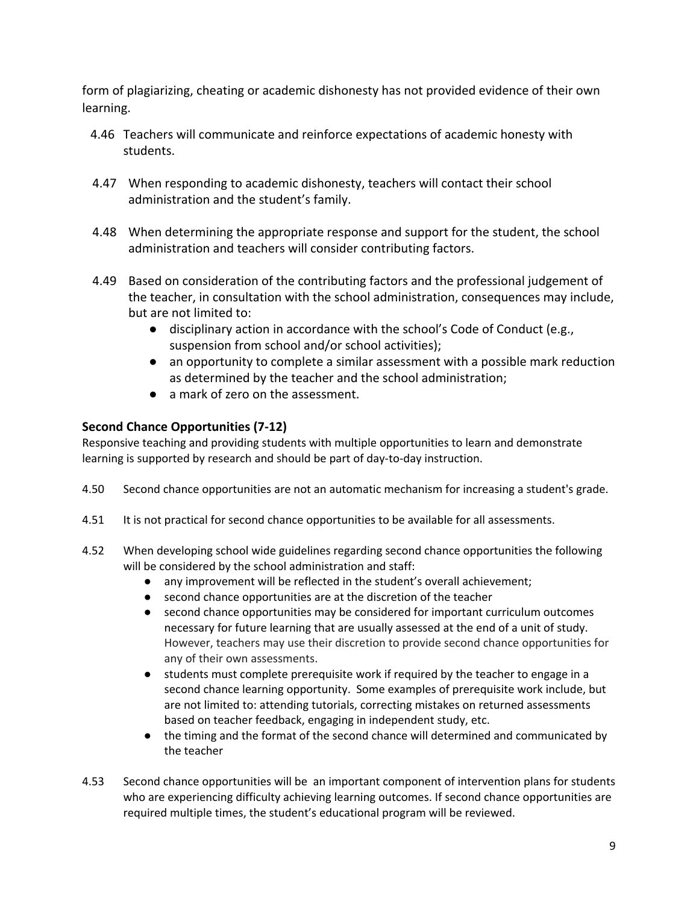form of plagiarizing, cheating or academic dishonesty has not provided evidence of their own learning.

- 4.46 Teachers will communicate and reinforce expectations of academic honesty with students.
- 4.47 When responding to academic dishonesty, teachers will contact their school administration and the student's family.
- 4.48 When determining the appropriate response and support for the student, the school administration and teachers will consider contributing factors.
- 4.49 Based on consideration of the contributing factors and the professional judgement of the teacher, in consultation with the school administration, consequences may include, but are not limited to:
	- disciplinary action in accordance with the school's Code of Conduct (e.g., suspension from school and/or school activities);
	- an opportunity to complete a similar assessment with a possible mark reduction as determined by the teacher and the school administration;
	- a mark of zero on the assessment.

# **Second Chance Opportunities (7-12)**

Responsive teaching and providing students with multiple opportunities to learn and demonstrate learning is supported by research and should be part of day-to-day instruction.

- 4.50 Second chance opportunities are not an automatic mechanism for increasing a student's grade.
- 4.51 It is not practical for second chance opportunities to be available for all assessments.
- 4.52 When developing school wide guidelines regarding second chance opportunities the following will be considered by the school administration and staff:
	- any improvement will be reflected in the student's overall achievement;
	- second chance opportunities are at the discretion of the teacher
	- second chance opportunities may be considered for important curriculum outcomes necessary for future learning that are usually assessed at the end of a unit of study. However, teachers may use their discretion to provide second chance opportunities for any of their own assessments.
	- students must complete prerequisite work if required by the teacher to engage in a second chance learning opportunity. Some examples of prerequisite work include, but are not limited to: attending tutorials, correcting mistakes on returned assessments based on teacher feedback, engaging in independent study, etc.
	- the timing and the format of the second chance will determined and communicated by the teacher
- 4.53 Second chance opportunities will be an important component of intervention plans for students who are experiencing difficulty achieving learning outcomes. If second chance opportunities are required multiple times, the student's educational program will be reviewed.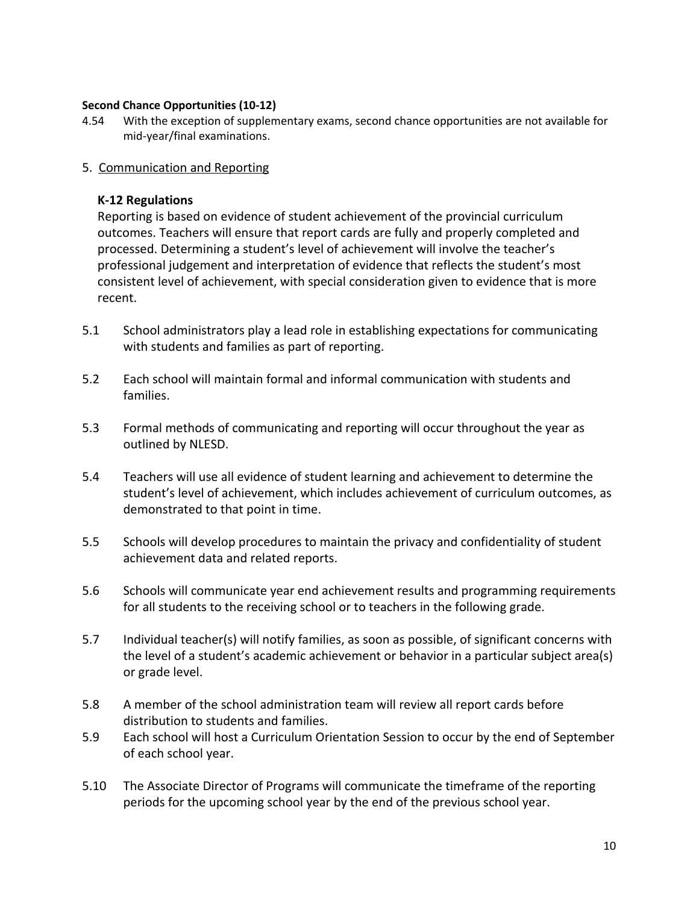#### **Second Chance Opportunities (10-12)**

- 4.54 With the exception of supplementary exams, second chance opportunities are not available for mid-year/final examinations.
- 5. Communication and Reporting

### **K-12 Regulations**

Reporting is based on evidence of student achievement of the provincial curriculum outcomes. Teachers will ensure that report cards are fully and properly completed and processed. Determining a student's level of achievement will involve the teacher's professional judgement and interpretation of evidence that reflects the student's most consistent level of achievement, with special consideration given to evidence that is more recent.

- 5.1 School administrators play a lead role in establishing expectations for communicating with students and families as part of reporting.
- 5.2 Each school will maintain formal and informal communication with students and families.
- 5.3 Formal methods of communicating and reporting will occur throughout the year as outlined by NLESD.
- 5.4 Teachers will use all evidence of student learning and achievement to determine the student's level of achievement, which includes achievement of curriculum outcomes, as demonstrated to that point in time.
- 5.5 Schools will develop procedures to maintain the privacy and confidentiality of student achievement data and related reports.
- 5.6 Schools will communicate year end achievement results and programming requirements for all students to the receiving school or to teachers in the following grade.
- 5.7 Individual teacher(s) will notify families, as soon as possible, of significant concerns with the level of a student's academic achievement or behavior in a particular subject area(s) or grade level.
- 5.8 A member of the school administration team will review all report cards before distribution to students and families.
- 5.9 Each school will host a Curriculum Orientation Session to occur by the end of September of each school year.
- 5.10 The Associate Director of Programs will communicate the timeframe of the reporting periods for the upcoming school year by the end of the previous school year.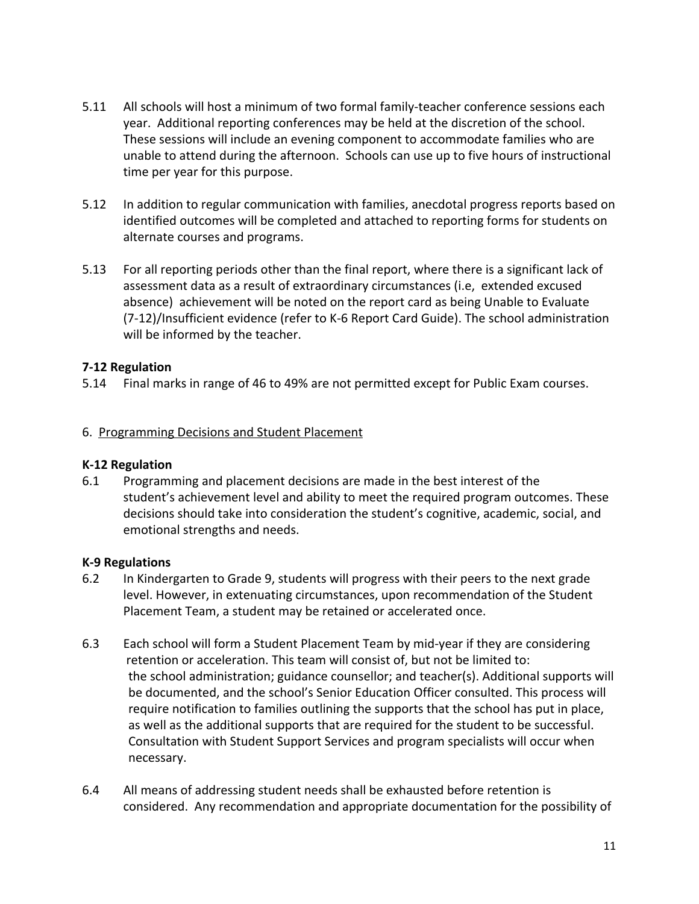- 5.11 All schools will host a minimum of two formal family-teacher conference sessions each year. Additional reporting conferences may be held at the discretion of the school. These sessions will include an evening component to accommodate families who are unable to attend during the afternoon. Schools can use up to five hours of instructional time per year for this purpose.
- 5.12 In addition to regular communication with families, anecdotal progress reports based on identified outcomes will be completed and attached to reporting forms for students on alternate courses and programs.
- 5.13 For all reporting periods other than the final report, where there is a significant lack of assessment data as a result of extraordinary circumstances (i.e, extended excused absence) achievement will be noted on the report card as being Unable to Evaluate (7-12)/Insufficient evidence (refer to K-6 Report Card Guide). The school administration will be informed by the teacher.

## **7-12 Regulation**

5.14 Final marks in range of 46 to 49% are not permitted except for Public Exam courses.

## 6. Programming Decisions and Student Placement

### **K-12 Regulation**

6.1 Programming and placement decisions are made in the best interest of the student's achievement level and ability to meet the required program outcomes. These decisions should take into consideration the student's cognitive, academic, social, and emotional strengths and needs.

### **K-9 Regulations**

- 6.2 In Kindergarten to Grade 9, students will progress with their peers to the next grade level. However, in extenuating circumstances, upon recommendation of the Student Placement Team, a student may be retained or accelerated once.
- 6.3 Each school will form a Student Placement Team by mid-year if they are considering retention or acceleration. This team will consist of, but not be limited to: the school administration; guidance counsellor; and teacher(s). Additional supports will be documented, and the school's Senior Education Officer consulted. This process will require notification to families outlining the supports that the school has put in place, as well as the additional supports that are required for the student to be successful. Consultation with Student Support Services and program specialists will occur when necessary.
- 6.4 All means of addressing student needs shall be exhausted before retention is considered. Any recommendation and appropriate documentation for the possibility of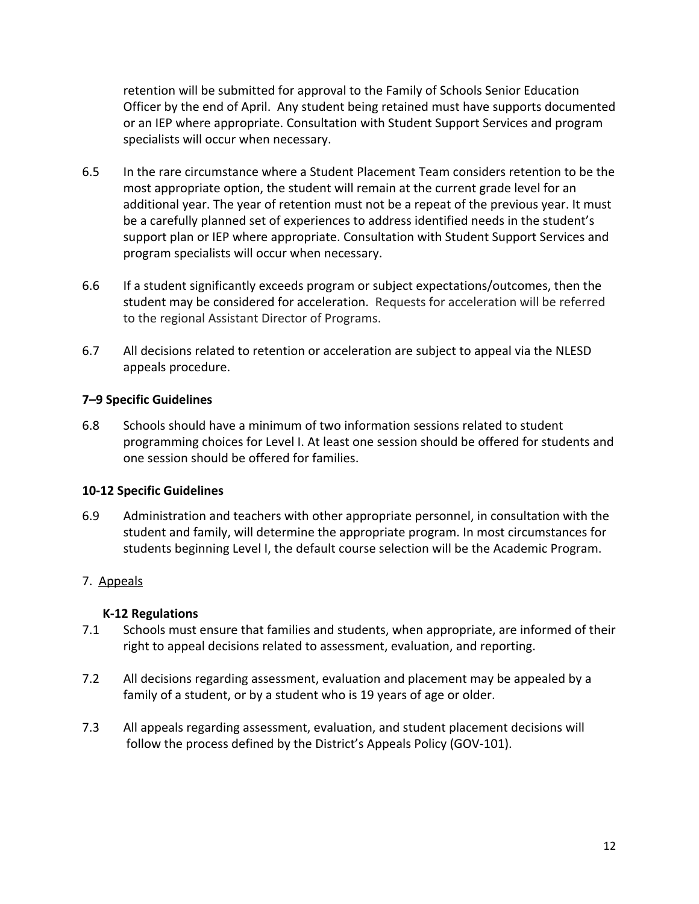retention will be submitted for approval to the Family of Schools Senior Education Officer by the end of April. Any student being retained must have supports documented or an IEP where appropriate. Consultation with Student Support Services and program specialists will occur when necessary.

- 6.5 In the rare circumstance where a Student Placement Team considers retention to be the most appropriate option, the student will remain at the current grade level for an additional year. The year of retention must not be a repeat of the previous year. It must be a carefully planned set of experiences to address identified needs in the student's support plan or IEP where appropriate. Consultation with Student Support Services and program specialists will occur when necessary.
- 6.6 If a student significantly exceeds program or subject expectations/outcomes, then the student may be considered for acceleration. Requests for acceleration will be referred to the regional Assistant Director of Programs.
- 6.7 All decisions related to retention or acceleration are subject to appeal via the NLESD appeals procedure.

## **7–9 Specific Guidelines**

6.8 Schools should have a minimum of two information sessions related to student programming choices for Level I. At least one session should be offered for students and one session should be offered for families.

# **10-12 Specific Guidelines**

6.9 Administration and teachers with other appropriate personnel, in consultation with the student and family, will determine the appropriate program. In most circumstances for students beginning Level I, the default course selection will be the Academic Program.

# 7. Appeals

### **K-12 Regulations**

- 7.1 Schools must ensure that families and students, when appropriate, are informed of their right to appeal decisions related to assessment, evaluation, and reporting.
- 7.2 All decisions regarding assessment, evaluation and placement may be appealed by a family of a student, or by a student who is 19 years of age or older.
- 7.3 All appeals regarding assessment, evaluation, and student placement decisions will follow the process defined by the District's Appeals Policy (GOV-101).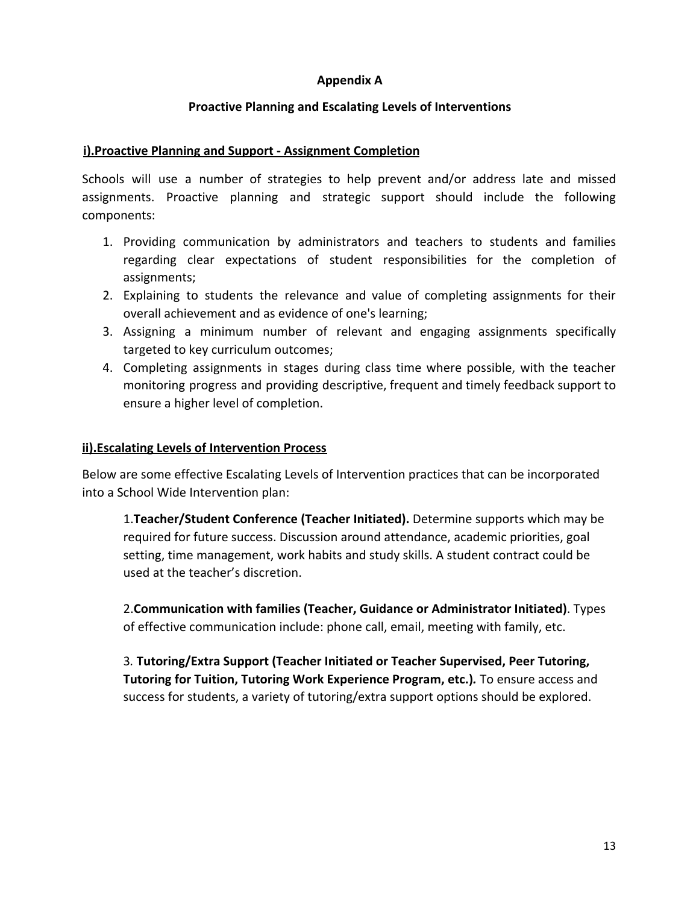## **Appendix A**

# **Proactive Planning and Escalating Levels of Interventions**

## **i).Proactive Planning and Support - Assignment Completion**

Schools will use a number of strategies to help prevent and/or address late and missed assignments. Proactive planning and strategic support should include the following components:

- 1. Providing communication by administrators and teachers to students and families regarding clear expectations of student responsibilities for the completion of assignments;
- 2. Explaining to students the relevance and value of completing assignments for their overall achievement and as evidence of one's learning;
- 3. Assigning a minimum number of relevant and engaging assignments specifically targeted to key curriculum outcomes;
- 4. Completing assignments in stages during class time where possible, with the teacher monitoring progress and providing descriptive, frequent and timely feedback support to ensure a higher level of completion.

### **ii).Escalating Levels of Intervention Process**

Below are some effective Escalating Levels of Intervention practices that can be incorporated into a School Wide Intervention plan:

1.**Teacher/Student Conference (Teacher Initiated).** Determine supports which may be required for future success. Discussion around attendance, academic priorities, goal setting, time management, work habits and study skills. A student contract could be used at the teacher's discretion.

2.**Communication with families (Teacher, Guidance or Administrator Initiated)**. Types of effective communication include: phone call, email, meeting with family, etc.

3*.* **Tutoring/Extra Support (Teacher Initiated or Teacher Supervised, Peer Tutoring, Tutoring for Tuition, Tutoring Work Experience Program, etc.)***.* To ensure access and success for students, a variety of tutoring/extra support options should be explored.